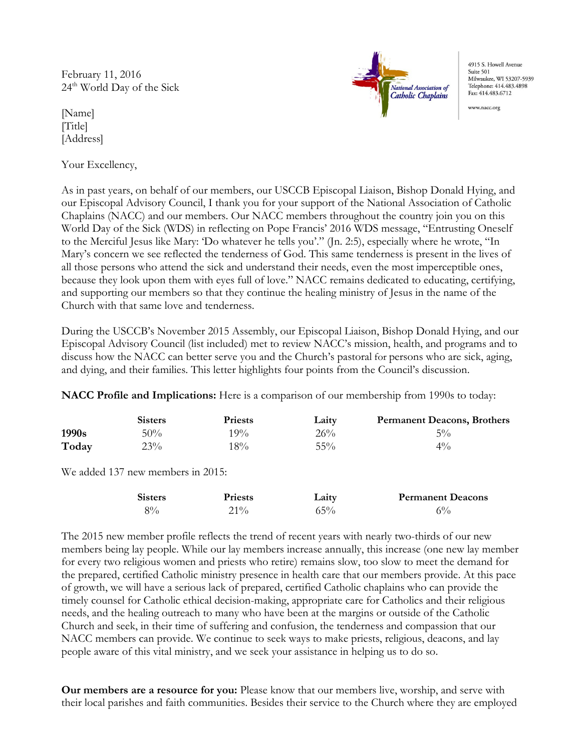February 11, 2016  $24<sup>th</sup>$  World Day of the Sick

[Name] [Title] [Address]

Your Excellency,



4915 S. Howell Avenue Suite 501 Milwaukee, WI 53207-5939 Telephone: 414.483.4898 Fax: 414.483.6712

ww.nacc.org

As in past years, on behalf of our members, our USCCB Episcopal Liaison, Bishop Donald Hying, and our Episcopal Advisory Council, I thank you for your support of the National Association of Catholic Chaplains (NACC) and our members. Our NACC members throughout the country join you on this World Day of the Sick (WDS) in reflecting on Pope Francis' 2016 WDS message, "Entrusting Oneself to the Merciful Jesus like Mary: 'Do whatever he tells you'." (Jn. 2:5), especially where he wrote, "In Mary's concern we see reflected the tenderness of God. This same tenderness is present in the lives of all those persons who attend the sick and understand their needs, even the most imperceptible ones, because they look upon them with eyes full of love." NACC remains dedicated to educating, certifying, and supporting our members so that they continue the healing ministry of Jesus in the name of the Church with that same love and tenderness.

During the USCCB's November 2015 Assembly, our Episcopal Liaison, Bishop Donald Hying, and our Episcopal Advisory Council (list included) met to review NACC's mission, health, and programs and to discuss how the NACC can better serve you and the Church's pastoral for persons who are sick, aging, and dying, and their families. This letter highlights four points from the Council's discussion.

NACC Profile and Implications: Here is a comparison of our membership from 1990s to today:

|       | <b>Sisters</b> | <b>Priests</b> | Laity  | <b>Permanent Deacons, Brothers</b> |
|-------|----------------|----------------|--------|------------------------------------|
| 1990s | 50%            | 19%            | 26%    | $5\%$                              |
| Today | 23%            | $18\%$         | $55\%$ | $4\%$                              |

We added 137 new members in 2015:

| <b>Sisters</b> | <b>Priests</b> | Laity | <b>Permanent Deacons</b> |
|----------------|----------------|-------|--------------------------|
| $8\%$          | $21\%$         | 65%   | $6\%$                    |

The 2015 new member profile reflects the trend of recent years with nearly two-thirds of our new members being lay people. While our lay members increase annually, this increase (one new lay member for every two religious women and priests who retire) remains slow, too slow to meet the demand for the prepared, certified Catholic ministry presence in health care that our members provide. At this pace of growth, we will have a serious lack of prepared, certified Catholic chaplains who can provide the timely counsel for Catholic ethical decision-making, appropriate care for Catholics and their religious needs, and the healing outreach to many who have been at the margins or outside of the Catholic Church and seek, in their time of suffering and confusion, the tenderness and compassion that our NACC members can provide. We continue to seek ways to make priests, religious, deacons, and lay people aware of this vital ministry, and we seek your assistance in helping us to do so.

Our members are a resource for you: Please know that our members live, worship, and serve with their local parishes and faith communities. Besides their service to the Church where they are employed